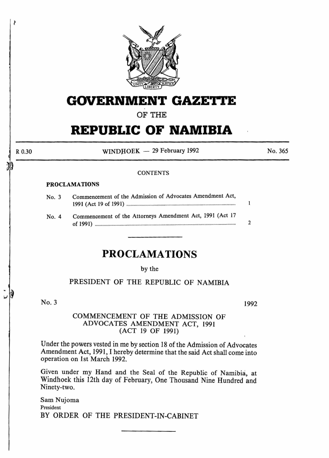

# **GOVERNMENT GAZETTE**

OF THE

# **REPUBLIC OF NAMIBIA**

R 0.30

30

Î

 $WINDHOEK - 29$  February 1992

No. 365

### **CONTENTS**

### PROCLAMATIONS

| No. 3 | Commencement of the Admission of Advocates Amendment Act, |               |
|-------|-----------------------------------------------------------|---------------|
| No. 4 | Commencement of the Attorneys Amendment Act, 1991 (Act 17 | $\mathcal{P}$ |

## **PROCLAMATIONS**

#### by the

### PRESIDENT OF THE REPUBLIC OF NAMIBIA

No.3

1992

### COMMENCEMENT OF THE ADMISSION OF ADVOCATES AMENDMENT ACT, 1991 (ACT 19 OF 1991)

Under the powers vested in me by section 18 of the Admission of Advocates Amendment Act, 1991, I hereby determine that the said Act shall come into operation on 1st March 1992.

Given under my Hand and the Seal of the Republic of Namibia, at Windhoek this 12th day of February, One Thousand Nine Hundred and Ninety-two.

Sam Nujoma President BY ORDER OF THE PRESIDENT-IN-CABINET